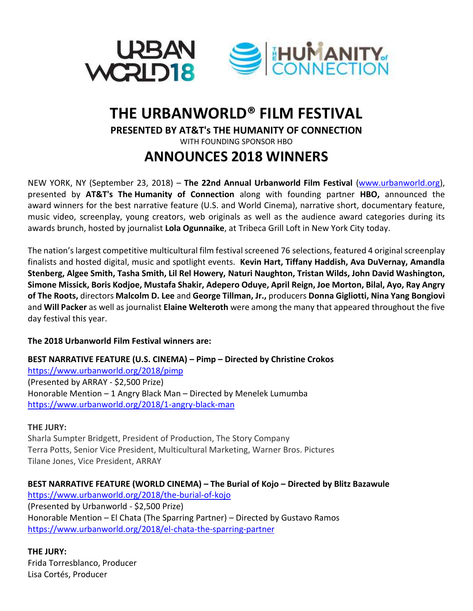

# **THE URBANWORLD® FILM FESTIVAL PRESENTED BY AT&T's THE HUMANITY OF CONNECTION** WITH FOUNDING SPONSOR HBO **ANNOUNCES 2018 WINNERS**

NEW YORK, NY (September 23, 2018) – **The 22nd Annual Urbanworld Film Festival** [\(www.urbanworld.org\)](http://www.urbanworld.org/), presented by **AT&T's The Humanity of Connection** along with founding partner **HBO,** announced the award winners for the best narrative feature (U.S. and World Cinema), narrative short, documentary feature, music video, screenplay, young creators, web originals as well as the audience award categories during its awards brunch, hosted by journalist **Lola Ogunnaike**, at Tribeca Grill Loft in New York City today.

The nation's largest competitive multicultural film festival screened 76 selections, featured 4 original screenplay finalists and hosted digital, music and spotlight events. **Kevin Hart, Tiffany Haddish, Ava DuVernay, Amandla Stenberg, Algee Smith, Tasha Smith, Lil Rel Howery, Naturi Naughton, Tristan Wilds, John David Washington, Simone Missick, Boris Kodjoe, Mustafa Shakir, Adepero Oduye, April Reign, Joe Morton, Bilal, Ayo, Ray Angry of The Roots,** directors **Malcolm D. Lee** and **George Tillman, Jr.,** producers **Donna Gigliotti, Nina Yang Bongiovi** and **Will Packer** as well as journalist **Elaine Welteroth** were among the many that appeared throughout the five day festival this year.

### **The 2018 Urbanworld Film Festival winners are:**

**BEST NARRATIVE FEATURE (U.S. CINEMA) – Pimp – Directed by Christine Crokos** <https://www.urbanworld.org/2018/pimp> (Presented by ARRAY - \$2,500 Prize) Honorable Mention – 1 Angry Black Man – Directed by Menelek Lumumba <https://www.urbanworld.org/2018/1-angry-black-man>

### **THE JURY:**

Sharla Sumpter Bridgett, President of Production, The Story Company Terra Potts, Senior Vice President, Multicultural Marketing, Warner Bros. Pictures Tilane Jones, Vice President, ARRAY

**BEST NARRATIVE FEATURE (WORLD CINEMA) – The Burial of Kojo – Directed by Blitz Bazawule** <https://www.urbanworld.org/2018/the-burial-of-kojo> (Presented by Urbanworld - \$2,500 Prize) Honorable Mention – El Chata (The Sparring Partner) – Directed by Gustavo Ramos <https://www.urbanworld.org/2018/el-chata-the-sparring-partner>

**THE JURY:** Frida Torresblanco, Producer Lisa Cortés, Producer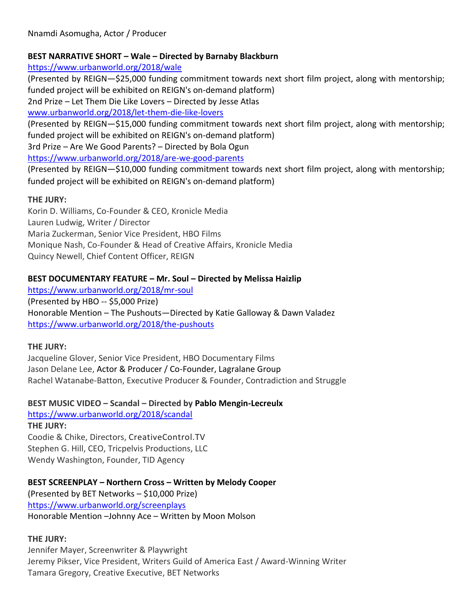### **BEST NARRATIVE SHORT – Wale – Directed by Barnaby Blackburn**

<https://www.urbanworld.org/2018/wale>

(Presented by REIGN—\$25,000 funding commitment towards next short film project, along with mentorship; funded project will be exhibited on REIGN's on-demand platform)

2nd Prize – Let Them Die Like Lovers – Directed by Jesse Atlas

[www.urbanworld.org/2018/let-them-die-like-lovers](http://www.urbanworld.org/2018/let-them-die-like-lovers)

(Presented by REIGN—\$15,000 funding commitment towards next short film project, along with mentorship; funded project will be exhibited on REIGN's on-demand platform)

3rd Prize – Are We Good Parents? – Directed by Bola Ogun

<https://www.urbanworld.org/2018/are-we-good-parents>

(Presented by REIGN—\$10,000 funding commitment towards next short film project, along with mentorship; funded project will be exhibited on REIGN's on-demand platform)

# **THE JURY:**

Korin D. Williams, Co-Founder & CEO, Kronicle Media Lauren Ludwig, Writer / Director Maria Zuckerman, Senior Vice President, HBO Films Monique Nash, Co-Founder & Head of Creative Affairs, Kronicle Media Quincy Newell, Chief Content Officer, REIGN

# **BEST DOCUMENTARY FEATURE – Mr. Soul – Directed by Melissa Haizlip**

<https://www.urbanworld.org/2018/mr-soul> (Presented by HBO -- \$5,000 Prize) Honorable Mention – The Pushouts—Directed by Katie Galloway & Dawn Valadez <https://www.urbanworld.org/2018/the-pushouts>

# **THE JURY:**

Jacqueline Glover, Senior Vice President, HBO Documentary Films Jason Delane Lee, Actor & Producer / Co-Founder, Lagralane Group Rachel Watanabe-Batton, Executive Producer & Founder, Contradiction and Struggle

**BEST MUSIC VIDEO – Scandal – Directed by Pablo Mengin-Lecreulx**

<https://www.urbanworld.org/2018/scandal> **THE JURY:** Coodie & Chike, Directors, CreativeControl.TV Stephen G. Hill, CEO, Tricpelvis Productions, LLC Wendy Washington, Founder, TID Agency

**BEST SCREENPLAY – Northern Cross – Written by Melody Cooper** (Presented by BET Networks – \$10,000 Prize) <https://www.urbanworld.org/screenplays> Honorable Mention –Johnny Ace – Written by Moon Molson

# **THE JURY:**

Jennifer Mayer, Screenwriter & Playwright Jeremy Pikser, Vice President, Writers Guild of America East / Award-Winning Writer Tamara Gregory, Creative Executive, BET Networks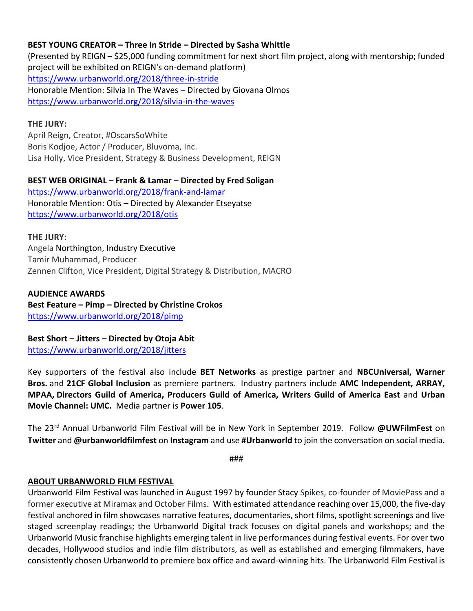### **BEST YOUNG CREATOR – Three In Stride – Directed by Sasha Whittle**

(Presented by REIGN – \$25,000 funding commitment for next short film project, along with mentorship; funded project will be exhibited on REIGN's on-demand platform) <https://www.urbanworld.org/2018/three-in-stride> Honorable Mention: Silvia In The Waves – Directed by Giovana Olmos <https://www.urbanworld.org/2018/silvia-in-the-waves>

### **THE JURY:**

April Reign, Creator, #OscarsSoWhite Boris Kodjoe, Actor / Producer, Bluvoma, Inc. Lisa Holly, Vice President, Strategy & Business Development, REIGN

**BEST WEB ORIGINAL – Frank & Lamar – Directed by Fred Soligan** <https://www.urbanworld.org/2018/frank-and-lamar> Honorable Mention: Otis – Directed by Alexander Etseyatse <https://www.urbanworld.org/2018/otis>

### **THE JURY:**

Angela Northington, Industry Executive Tamir Muhammad, Producer Zennen Clifton, Vice President, Digital Strategy & Distribution, MACRO

### **AUDIENCE AWARDS**

**Best Feature – Pimp – Directed by Christine Crokos** <https://www.urbanworld.org/2018/pimp>

**Best Short – Jitters – Directed by Otoja Abit**

<https://www.urbanworld.org/2018/jitters>

Key supporters of the festival also include **BET Networks** as prestige partner and **NBCUniversal, Warner Bros.** and **21CF Global Inclusion** as premiere partners. Industry partners include **AMC Independent, ARRAY, MPAA, Directors Guild of America, Producers Guild of America, Writers Guild of America East** and **Urban Movie Channel: UMC.** Media partner is **Power 105**.

The 23rd Annual Urbanworld Film Festival will be in New York in September 2019. Follow **@UWFilmFest** on **Twitter** and **@urbanworldfilmfest** on **Instagram** and use **#Urbanworld** to join the conversation on social media.

###

### **ABOUT URBANWORLD FILM FESTIVAL**

Urbanworld Film Festival was launched in August 1997 by founder Stacy Spikes, co-founder of MoviePass and a former executive at Miramax and October Films. With estimated attendance reaching over 15,000, the five-day festival anchored in film showcases narrative features, documentaries, short films, spotlight screenings and live staged screenplay readings; the Urbanworld Digital track focuses on digital panels and workshops; and the Urbanworld Music franchise highlights emerging talent in live performances during festival events. For over two decades, Hollywood studios and indie film distributors, as well as established and emerging filmmakers, have consistently chosen Urbanworld to premiere box office and award-winning hits. The Urbanworld Film Festival is